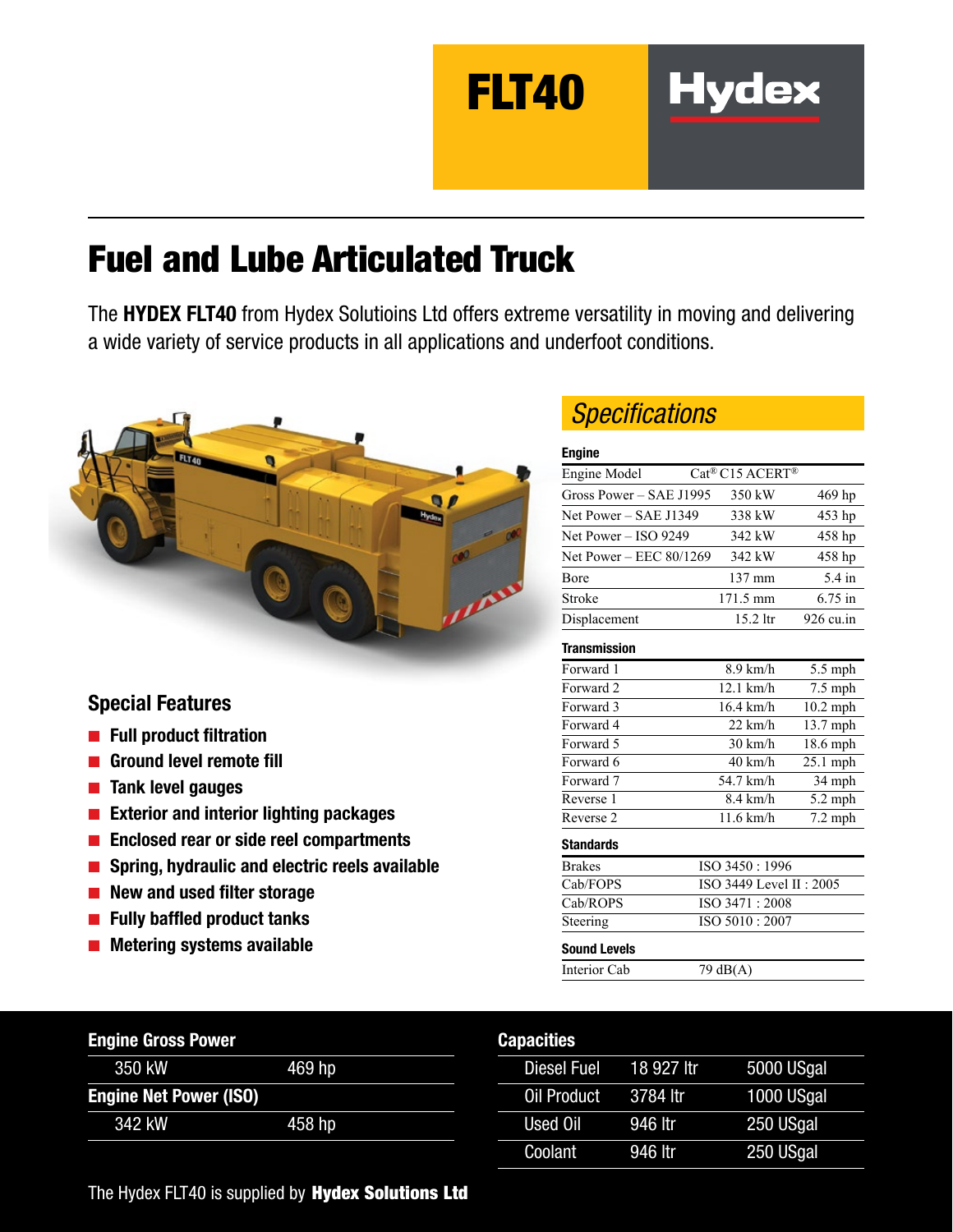FLT40

# Fuel and Lube Articulated Truck

The HYDEX FLT40 from Hydex Solutioins Ltd offers extreme versatility in moving and delivering a wide variety of service products in all applications and underfoot conditions.



### Special Features

- Full product filtration
- Ground level remote fill
- Tank level gauges
- Exterior and interior lighting packages
- Enclosed rear or side reel compartments
- Spring, hydraulic and electric reels available
- New and used filter storage
- Fully baffled product tanks
- Metering systems available

| <b>Engine Gross Power</b>     |        |
|-------------------------------|--------|
| 350 kW                        | 469 hp |
| <b>Engine Net Power (ISO)</b> |        |
| 342 kW                        | 458 hp |

### *Specifications*

#### Engine

| Engine Model            | Cat <sup>®</sup> C15 ACERT <sup>®</sup> |                     |
|-------------------------|-----------------------------------------|---------------------|
| Gross Power – SAE J1995 | 350 kW                                  | 469 hp              |
| Net Power - SAE J1349   | 338 kW                                  | 453 hp              |
| Net Power $-$ ISO 9249  | 342 kW                                  | 458 hp              |
| Net Power - EEC 80/1269 | 342 kW                                  | 458 hp              |
| Bore                    | 137 mm                                  | 5.4 in              |
| Stroke                  | 171.5 mm                                | $6.75$ in           |
| Displacement            | $15.2$ ltr                              | $926 \text{ cu.in}$ |

**Hydex** 

#### **Transmission**

| $   -$             |            |
|--------------------|------------|
|                    |            |
| $11.6$ km/h        | $7.2$ mph  |
| $8.4 \text{ km/h}$ | $5.2$ mph  |
| 54.7 km/h          | 34 mph     |
| $40 \text{ km/h}$  | $25.1$ mph |
| $30 \text{ km/h}$  | $18.6$ mph |
| $22 \text{ km/h}$  | $13.7$ mph |
| 16.4 km/h          | $10.2$ mph |
| $12.1$ km/h        | $7.5$ mph  |
| $8.9 \text{ km/h}$ | $5.5$ mph  |
|                    |            |

| <b>Brakes</b>       | ISO 3450: 1996             |
|---------------------|----------------------------|
| Cab/FOPS            | ISO 3449 Level II : $2005$ |
| Cab/ROPS            | ISO 3471 : 2008            |
| Steering            | ISO 5010 : 2007            |
| <b>Sound Levels</b> |                            |
| Interior Cab        | $79 \text{ dB}(A)$         |

#### **Canacities**

| <u>,,,,,,,,,,</u> |            |            |
|-------------------|------------|------------|
| Diesel Fuel       | 18 927 Itr | 5000 USgal |
| Oil Product       | 3784 ltr   | 1000 USgal |
| Used Oil          | 946 ltr    | 250 USgal  |
| Coolant           | 946 ltr    | 250 USgal  |

The Hydex FLT40 is supplied by Hydex Solutions Ltd